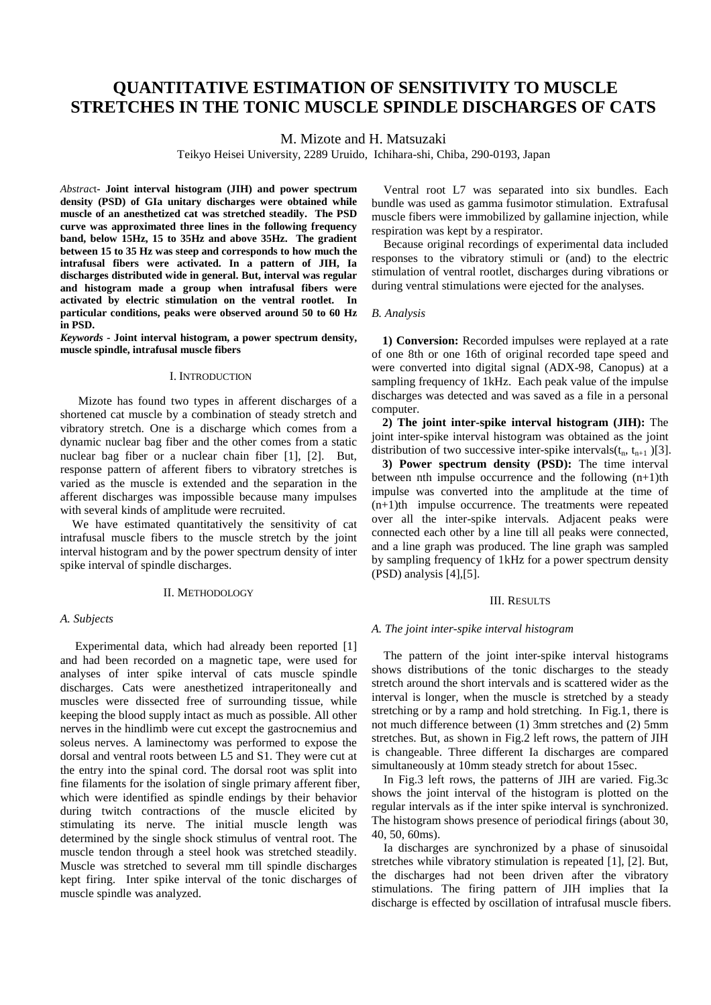# **QUANTITATIVE ESTIMATION OF SENSITIVITY TO MUSCLE STRETCHES IN THE TONIC MUSCLE SPINDLE DISCHARGES OF CATS**

M. Mizote and H. Matsuzaki

Teikyo Heisei University, 2289 Uruido, Ichihara-shi, Chiba, 290-0193, Japan

*Abstrac*t**- Joint interval histogram (JIH) and power spectrum density (PSD) of GIa unitary discharges were obtained while muscle of an anesthetized cat was stretched steadily. The PSD curve was approximated three lines in the following frequency band, below 15Hz, 15 to 35Hz and above 35Hz. The gradient between 15 to 35 Hz was steep and corresponds to how much the intrafusal fibers were activated. In a pattern of JIH, Ia discharges distributed wide in general. But, interval was regular and histogram made a group when intrafusal fibers were activated by electric stimulation on the ventral rootlet. In particular conditions, peaks were observed around 50 to 60 Hz in PSD.**

*Keywords -* **Joint interval histogram, a power spectrum density, muscle spindle, intrafusal muscle fibers** 

## I. INTRODUCTION

 Mizote has found two types in afferent discharges of a shortened cat muscle by a combination of steady stretch and vibratory stretch. One is a discharge which comes from a dynamic nuclear bag fiber and the other comes from a static nuclear bag fiber or a nuclear chain fiber [1], [2]. But, response pattern of afferent fibers to vibratory stretches is varied as the muscle is extended and the separation in the afferent discharges was impossible because many impulses with several kinds of amplitude were recruited.

We have estimated quantitatively the sensitivity of cat intrafusal muscle fibers to the muscle stretch by the joint interval histogram and by the power spectrum density of inter spike interval of spindle discharges.

## II. METHODOLOGY

## *A. Subjects*

 Experimental data, which had already been reported [1] and had been recorded on a magnetic tape, were used for analyses of inter spike interval of cats muscle spindle discharges. Cats were anesthetized intraperitoneally and muscles were dissected free of surrounding tissue, while keeping the blood supply intact as much as possible. All other nerves in the hindlimb were cut except the gastrocnemius and soleus nerves. A laminectomy was performed to expose the dorsal and ventral roots between L5 and S1. They were cut at the entry into the spinal cord. The dorsal root was split into fine filaments for the isolation of single primary afferent fiber, which were identified as spindle endings by their behavior during twitch contractions of the muscle elicited by stimulating its nerve. The initial muscle length was determined by the single shock stimulus of ventral root. The muscle tendon through a steel hook was stretched steadily. Muscle was stretched to several mm till spindle discharges kept firing. Inter spike interval of the tonic discharges of muscle spindle was analyzed.

Ventral root L7 was separated into six bundles. Each bundle was used as gamma fusimotor stimulation. Extrafusal muscle fibers were immobilized by gallamine injection, while respiration was kept by a respirator.

Because original recordings of experimental data included responses to the vibratory stimuli or (and) to the electric stimulation of ventral rootlet, discharges during vibrations or during ventral stimulations were ejected for the analyses.

#### *B. Analysis*

**1) Conversion:** Recorded impulses were replayed at a rate of one 8th or one 16th of original recorded tape speed and were converted into digital signal (ADX-98, Canopus) at a sampling frequency of 1kHz. Each peak value of the impulse discharges was detected and was saved as a file in a personal computer.

**2) The joint inter-spike interval histogram (JIH):** The joint inter-spike interval histogram was obtained as the joint distribution of two successive inter-spike intervals( $t_n$ ,  $t_{n+1}$ )[3].

**3) Power spectrum density (PSD):** The time interval between nth impulse occurrence and the following  $(n+1)$ th impulse was converted into the amplitude at the time of  $(n+1)$ th impulse occurrence. The treatments were repeated over all the inter-spike intervals. Adjacent peaks were connected each other by a line till all peaks were connected, and a line graph was produced. The line graph was sampled by sampling frequency of 1kHz for a power spectrum density (PSD) analysis [4],[5].

## III. RESULTS

#### *A. The joint inter-spike interval histogram*

The pattern of the joint inter-spike interval histograms shows distributions of the tonic discharges to the steady stretch around the short intervals and is scattered wider as the interval is longer, when the muscle is stretched by a steady stretching or by a ramp and hold stretching. In Fig.1, there is not much difference between (1) 3mm stretches and (2) 5mm stretches. But, as shown in Fig.2 left rows, the pattern of JIH is changeable. Three different Ia discharges are compared simultaneously at 10mm steady stretch for about 15sec.

In Fig.3 left rows, the patterns of JIH are varied. Fig.3c shows the joint interval of the histogram is plotted on the regular intervals as if the inter spike interval is synchronized. The histogram shows presence of periodical firings (about 30, 40, 50, 60ms).

Ia discharges are synchronized by a phase of sinusoidal stretches while vibratory stimulation is repeated [1], [2]. But, the discharges had not been driven after the vibratory stimulations. The firing pattern of JIH implies that Ia discharge is effected by oscillation of intrafusal muscle fibers.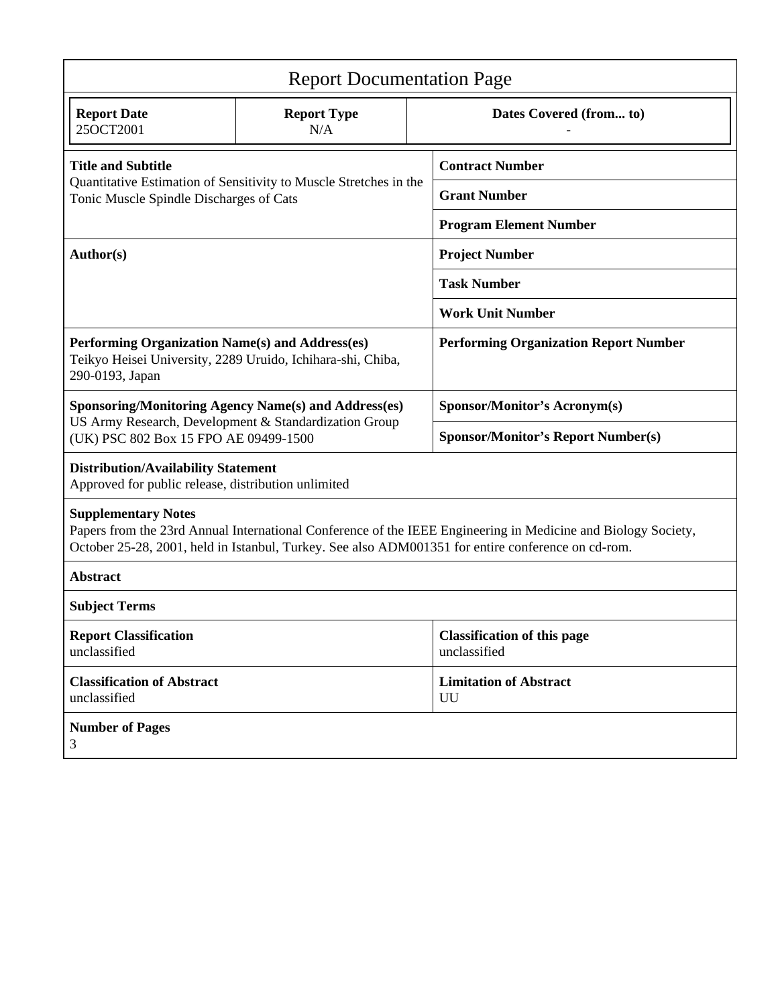| <b>Report Documentation Page</b>                                                                                                                                                                                                                  |                           |                         |                                                    |
|---------------------------------------------------------------------------------------------------------------------------------------------------------------------------------------------------------------------------------------------------|---------------------------|-------------------------|----------------------------------------------------|
| <b>Report Date</b><br>25OCT2001                                                                                                                                                                                                                   | <b>Report Type</b><br>N/A | Dates Covered (from to) |                                                    |
| <b>Title and Subtitle</b><br>Quantitative Estimation of Sensitivity to Muscle Stretches in the<br>Tonic Muscle Spindle Discharges of Cats                                                                                                         |                           |                         | <b>Contract Number</b>                             |
|                                                                                                                                                                                                                                                   |                           |                         | <b>Grant Number</b>                                |
|                                                                                                                                                                                                                                                   |                           |                         | <b>Program Element Number</b>                      |
| Author(s)                                                                                                                                                                                                                                         |                           |                         | <b>Project Number</b>                              |
|                                                                                                                                                                                                                                                   |                           | <b>Task Number</b>      |                                                    |
|                                                                                                                                                                                                                                                   |                           |                         | <b>Work Unit Number</b>                            |
| Performing Organization Name(s) and Address(es)<br>Teikyo Heisei University, 2289 Uruido, Ichihara-shi, Chiba,<br>290-0193, Japan                                                                                                                 |                           |                         | <b>Performing Organization Report Number</b>       |
| <b>Sponsoring/Monitoring Agency Name(s) and Address(es)</b><br>US Army Research, Development & Standardization Group<br>(UK) PSC 802 Box 15 FPO AE 09499-1500                                                                                     |                           |                         | <b>Sponsor/Monitor's Acronym(s)</b>                |
|                                                                                                                                                                                                                                                   |                           |                         | <b>Sponsor/Monitor's Report Number(s)</b>          |
| <b>Distribution/Availability Statement</b><br>Approved for public release, distribution unlimited                                                                                                                                                 |                           |                         |                                                    |
| <b>Supplementary Notes</b><br>Papers from the 23rd Annual International Conference of the IEEE Engineering in Medicine and Biology Society,<br>October 25-28, 2001, held in Istanbul, Turkey. See also ADM001351 for entire conference on cd-rom. |                           |                         |                                                    |
| <b>Abstract</b>                                                                                                                                                                                                                                   |                           |                         |                                                    |
| <b>Subject Terms</b>                                                                                                                                                                                                                              |                           |                         |                                                    |
| <b>Report Classification</b><br>unclassified                                                                                                                                                                                                      |                           |                         | <b>Classification of this page</b><br>unclassified |
| <b>Classification of Abstract</b><br>unclassified                                                                                                                                                                                                 |                           |                         | <b>Limitation of Abstract</b><br>UU                |
| <b>Number of Pages</b><br>3                                                                                                                                                                                                                       |                           |                         |                                                    |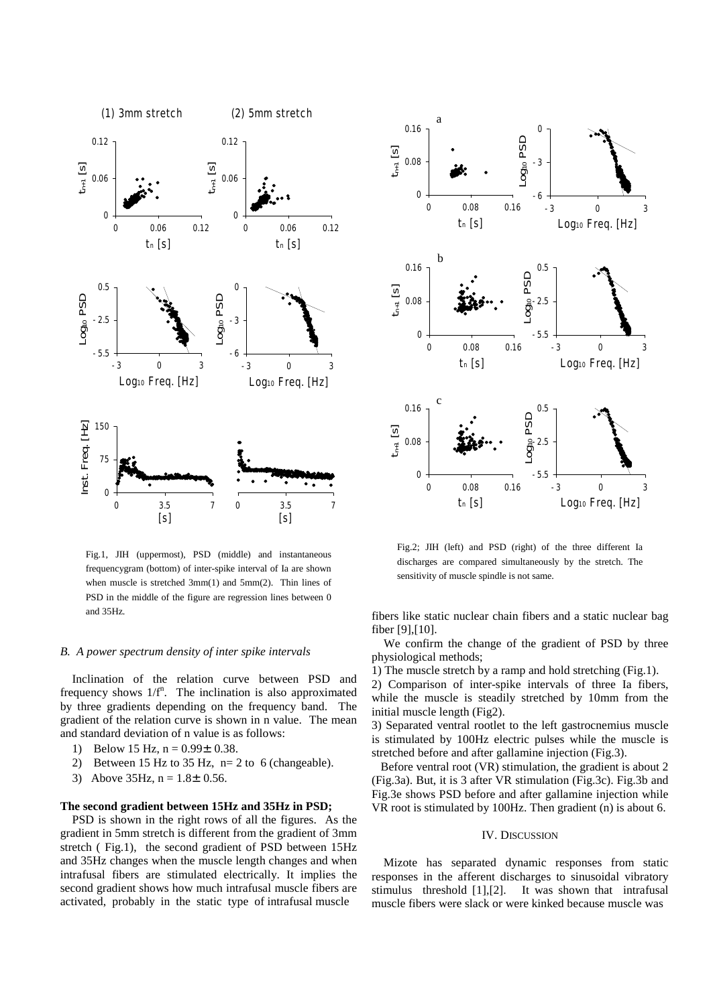

Fig.1, JIH (uppermost), PSD (middle) and instantaneous frequencygram (bottom) of inter-spike interval of Ia are shown when muscle is stretched 3mm(1) and 5mm(2). Thin lines of PSD in the middle of the figure are regression lines between 0 and 35Hz.

## *B. A power spectrum density of inter spike intervals*

Inclination of the relation curve between PSD and frequency shows  $1/f^n$ . The inclination is also approximated by three gradients depending on the frequency band. The gradient of the relation curve is shown in n value. The mean and standard deviation of n value is as follows:

- 1) Below 15 Hz,  $n = 0.99 \pm 0.38$ .
- 2) Between 15 Hz to 35 Hz, n= 2 to 6 (changeable).
- 3) Above  $35\text{Hz}$ , n =  $1.8\pm0.56$ .

## **The second gradient between 15Hz and 35Hz in PSD;**

PSD is shown in the right rows of all the figures. As the gradient in 5mm stretch is different from the gradient of 3mm stretch ( Fig.1), the second gradient of PSD between 15Hz and 35Hz changes when the muscle length changes and when intrafusal fibers are stimulated electrically. It implies the second gradient shows how much intrafusal muscle fibers are activated, probably in the static type of intrafusal muscle



Fig.2; JIH (left) and PSD (right) of the three different Ia discharges are compared simultaneously by the stretch. The sensitivity of muscle spindle is not same.

fibers like static nuclear chain fibers and a static nuclear bag fiber [9],[10].

 We confirm the change of the gradient of PSD by three physiological methods;

1) The muscle stretch by a ramp and hold stretching (Fig.1).

2) Comparison of inter-spike intervals of three Ia fibers, while the muscle is steadily stretched by 10mm from the initial muscle length (Fig2).

3) Separated ventral rootlet to the left gastrocnemius muscle is stimulated by 100Hz electric pulses while the muscle is stretched before and after gallamine injection (Fig.3).

 Before ventral root (VR) stimulation, the gradient is about 2 (Fig.3a). But, it is 3 after VR stimulation (Fig.3c). Fig.3b and Fig.3e shows PSD before and after gallamine injection while VR root is stimulated by 100Hz. Then gradient (n) is about 6.

## IV. DISCUSSION

Mizote has separated dynamic responses from static responses in the afferent discharges to sinusoidal vibratory stimulus threshold [1],[2]. It was shown that intrafusal muscle fibers were slack or were kinked because muscle was